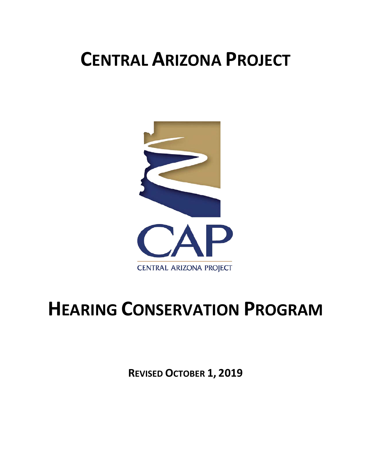# **CENTRAL ARIZONA PROJECT**



# **HEARING CONSERVATION PROGRAM**

**REVISED OCTOBER 1, 2019**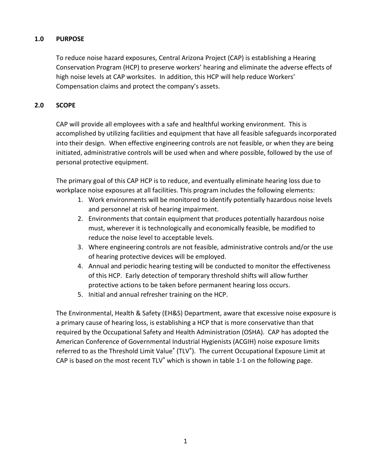## **1.0 PURPOSE**

To reduce noise hazard exposures, Central Arizona Project (CAP) is establishing a Hearing Conservation Program (HCP) to preserve workers' hearing and eliminate the adverse effects of high noise levels at CAP worksites. In addition, this HCP will help reduce Workers' Compensation claims and protect the company's assets.

## **2.0 SCOPE**

CAP will provide all employees with a safe and healthful working environment. This is accomplished by utilizing facilities and equipment that have all feasible safeguards incorporated into their design. When effective engineering controls are not feasible, or when they are being initiated, administrative controls will be used when and where possible, followed by the use of personal protective equipment.

The primary goal of this CAP HCP is to reduce, and eventually eliminate hearing loss due to workplace noise exposures at all facilities. This program includes the following elements:

- 1. Work environments will be monitored to identify potentially hazardous noise levels and personnel at risk of hearing impairment.
- 2. Environments that contain equipment that produces potentially hazardous noise must, wherever it is technologically and economically feasible, be modified to reduce the noise level to acceptable levels.
- 3. Where engineering controls are not feasible, administrative controls and/or the use of hearing protective devices will be employed.
- 4. Annual and periodic hearing testing will be conducted to monitor the effectiveness of this HCP. Early detection of temporary threshold shifts will allow further protective actions to be taken before permanent hearing loss occurs.
- 5. Initial and annual refresher training on the HCP.

The Environmental, Health & Safety (EH&S) Department, aware that excessive noise exposure is a primary cause of hearing loss, is establishing a HCP that is more conservative than that required by the Occupational Safety and Health Administration (OSHA). CAP has adopted the American Conference of Governmental Industrial Hygienists (ACGIH) noise exposure limits referred to as the Threshold Limit Value<sup>®</sup> (TLV<sup>®</sup>). The current Occupational Exposure Limit at CAP is based on the most recent TLV® which is shown in table 1-1 on the following page.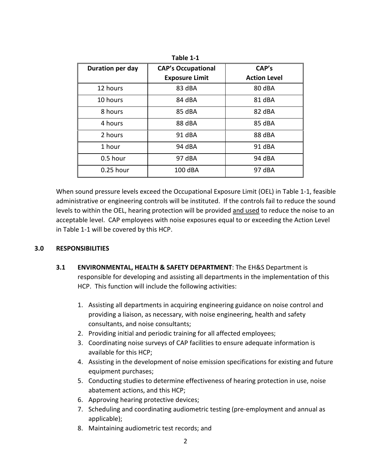| Duration per day | <b>CAP's Occupational</b> | CAP's               |  |
|------------------|---------------------------|---------------------|--|
|                  | <b>Exposure Limit</b>     | <b>Action Level</b> |  |
| 12 hours         | 83 dBA                    | 80 dBA              |  |
| 10 hours         | 84 dBA                    | 81 dBA              |  |
| 8 hours          | 85 dBA                    | 82 dBA              |  |
| 4 hours          | 88 dBA                    | 85 dBA              |  |
| 2 hours          | 91 dBA                    | 88 dBA              |  |
| 1 hour           | 94 dBA                    | 91 dBA              |  |
| 0.5 hour         | 97 dBA                    | 94 dBA              |  |
| 0.25 hour        | 100 dBA                   | 97 dBA              |  |

**Table 1-1**

When sound pressure levels exceed the Occupational Exposure Limit (OEL) in Table 1-1, feasible administrative or engineering controls will be instituted. If the controls fail to reduce the sound levels to within the OEL, hearing protection will be provided and used to reduce the noise to an acceptable level. CAP employees with noise exposures equal to or exceeding the Action Level in Table 1-1 will be covered by this HCP.

### **3.0 RESPONSIBILITIES**

- **3.1 ENVIRONMENTAL, HEALTH & SAFETY DEPARTMENT**: The EH&S Department is responsible for developing and assisting all departments in the implementation of this HCP. This function will include the following activities:
	- 1. Assisting all departments in acquiring engineering guidance on noise control and providing a liaison, as necessary, with noise engineering, health and safety consultants, and noise consultants;
	- 2. Providing initial and periodic training for all affected employees;
	- 3. Coordinating noise surveys of CAP facilities to ensure adequate information is available for this HCP;
	- 4. Assisting in the development of noise emission specifications for existing and future equipment purchases;
	- 5. Conducting studies to determine effectiveness of hearing protection in use, noise abatement actions, and this HCP;
	- 6. Approving hearing protective devices;
	- 7. Scheduling and coordinating audiometric testing (pre-employment and annual as applicable);
	- 8. Maintaining audiometric test records; and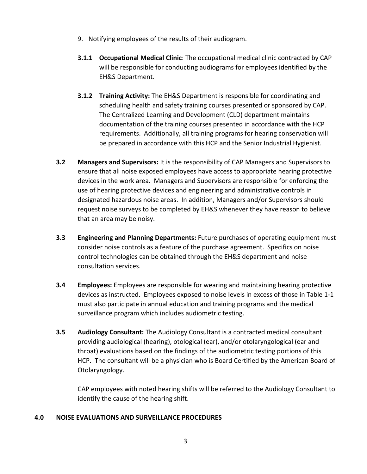- 9. Notifying employees of the results of their audiogram.
- **3.1.1 Occupational Medical Clinic**: The occupational medical clinic contracted by CAP will be responsible for conducting audiograms for employees identified by the EH&S Department.
- **3.1.2 Training Activity:** The EH&S Department is responsible for coordinating and scheduling health and safety training courses presented or sponsored by CAP. The Centralized Learning and Development (CLD) department maintains documentation of the training courses presented in accordance with the HCP requirements. Additionally, all training programs for hearing conservation will be prepared in accordance with this HCP and the Senior Industrial Hygienist.
- **3.2 Managers and Supervisors:** It is the responsibility of CAP Managers and Supervisors to ensure that all noise exposed employees have access to appropriate hearing protective devices in the work area. Managers and Supervisors are responsible for enforcing the use of hearing protective devices and engineering and administrative controls in designated hazardous noise areas. In addition, Managers and/or Supervisors should request noise surveys to be completed by EH&S whenever they have reason to believe that an area may be noisy.
- **3.3 Engineering and Planning Departments:** Future purchases of operating equipment must consider noise controls as a feature of the purchase agreement. Specifics on noise control technologies can be obtained through the EH&S department and noise consultation services.
- **3.4 Employees:** Employees are responsible for wearing and maintaining hearing protective devices as instructed. Employees exposed to noise levels in excess of those in Table 1-1 must also participate in annual education and training programs and the medical surveillance program which includes audiometric testing.
- **3.5 Audiology Consultant:** The Audiology Consultant is a contracted medical consultant providing audiological (hearing), otological (ear), and/or otolaryngological (ear and throat) evaluations based on the findings of the audiometric testing portions of this HCP. The consultant will be a physician who is Board Certified by the American Board of Otolaryngology.

CAP employees with noted hearing shifts will be referred to the Audiology Consultant to identify the cause of the hearing shift.

## **4.0 NOISE EVALUATIONS AND SURVEILLANCE PROCEDURES**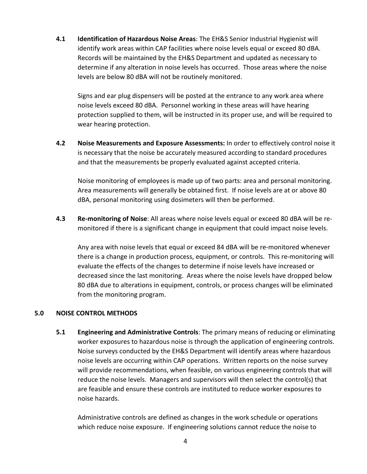**4.1 Identification of Hazardous Noise Areas**: The EH&S Senior Industrial Hygienist will identify work areas within CAP facilities where noise levels equal or exceed 80 dBA. Records will be maintained by the EH&S Department and updated as necessary to determine if any alteration in noise levels has occurred. Those areas where the noise levels are below 80 dBA will not be routinely monitored.

Signs and ear plug dispensers will be posted at the entrance to any work area where noise levels exceed 80 dBA. Personnel working in these areas will have hearing protection supplied to them, will be instructed in its proper use, and will be required to wear hearing protection.

**4.2 Noise Measurements and Exposure Assessments:** In order to effectively control noise it is necessary that the noise be accurately measured according to standard procedures and that the measurements be properly evaluated against accepted criteria.

Noise monitoring of employees is made up of two parts: area and personal monitoring. Area measurements will generally be obtained first. If noise levels are at or above 80 dBA, personal monitoring using dosimeters will then be performed.

**4.3 Re-monitoring of Noise**: All areas where noise levels equal or exceed 80 dBA will be remonitored if there is a significant change in equipment that could impact noise levels.

Any area with noise levels that equal or exceed 84 dBA will be re-monitored whenever there is a change in production process, equipment, or controls. This re-monitoring will evaluate the effects of the changes to determine if noise levels have increased or decreased since the last monitoring. Areas where the noise levels have dropped below 80 dBA due to alterations in equipment, controls, or process changes will be eliminated from the monitoring program.

### **5.0 NOISE CONTROL METHODS**

**5.1 Engineering and Administrative Controls**: The primary means of reducing or eliminating worker exposures to hazardous noise is through the application of engineering controls. Noise surveys conducted by the EH&S Department will identify areas where hazardous noise levels are occurring within CAP operations. Written reports on the noise survey will provide recommendations, when feasible, on various engineering controls that will reduce the noise levels. Managers and supervisors will then select the control(s) that are feasible and ensure these controls are instituted to reduce worker exposures to noise hazards.

Administrative controls are defined as changes in the work schedule or operations which reduce noise exposure. If engineering solutions cannot reduce the noise to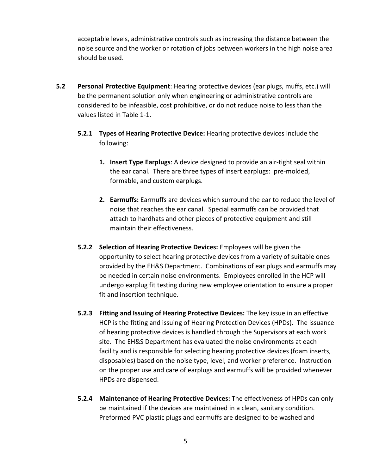acceptable levels, administrative controls such as increasing the distance between the noise source and the worker or rotation of jobs between workers in the high noise area should be used.

- **5.2 Personal Protective Equipment**: Hearing protective devices (ear plugs, muffs, etc.) will be the permanent solution only when engineering or administrative controls are considered to be infeasible, cost prohibitive, or do not reduce noise to less than the values listed in Table 1-1.
	- **5.2.1 Types of Hearing Protective Device:** Hearing protective devices include the following:
		- **1. Insert Type Earplugs**: A device designed to provide an air-tight seal within the ear canal. There are three types of insert earplugs: pre-molded, formable, and custom earplugs.
		- **2. Earmuffs:** Earmuffs are devices which surround the ear to reduce the level of noise that reaches the ear canal. Special earmuffs can be provided that attach to hardhats and other pieces of protective equipment and still maintain their effectiveness.
	- **5.2.2 Selection of Hearing Protective Devices:** Employees will be given the opportunity to select hearing protective devices from a variety of suitable ones provided by the EH&S Department. Combinations of ear plugs and earmuffs may be needed in certain noise environments. Employees enrolled in the HCP will undergo earplug fit testing during new employee orientation to ensure a proper fit and insertion technique.
	- **5.2.3 Fitting and Issuing of Hearing Protective Devices:** The key issue in an effective HCP is the fitting and issuing of Hearing Protection Devices (HPDs). The issuance of hearing protective devices is handled through the Supervisors at each work site. The EH&S Department has evaluated the noise environments at each facility and is responsible for selecting hearing protective devices (foam inserts, disposables) based on the noise type, level, and worker preference. Instruction on the proper use and care of earplugs and earmuffs will be provided whenever HPDs are dispensed.
	- **5.2.4 Maintenance of Hearing Protective Devices:** The effectiveness of HPDs can only be maintained if the devices are maintained in a clean, sanitary condition. Preformed PVC plastic plugs and earmuffs are designed to be washed and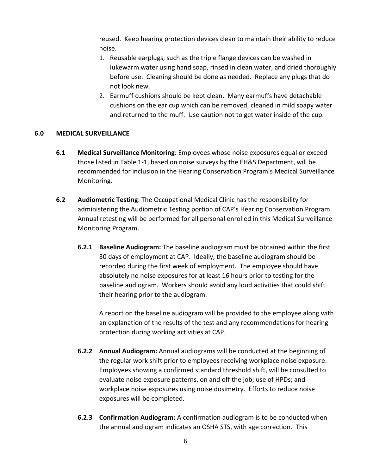reused. Keep hearing protection devices clean to maintain their ability to reduce noise.

- 1. Reusable earplugs, such as the triple flange devices can be washed in lukewarm water using hand soap, rinsed in clean water, and dried thoroughly before use. Cleaning should be done as needed. Replace any plugs that do not look new.
- 2. Earmuff cushions should be kept clean. Many earmuffs have detachable cushions on the ear cup which can be removed, cleaned in mild soapy water and returned to the muff. Use caution not to get water inside of the cup.

## **6.0 MEDICAL SURVEILLANCE**

- **6.1 Medical Surveillance Monitoring**: Employees whose noise exposures equal or exceed those listed in Table 1-1, based on noise surveys by the EH&S Department, will be recommended for inclusion in the Hearing Conservation Program's Medical Surveillance Monitoring.
- **6.2 Audiometric Testing**: The Occupational Medical Clinic has the responsibility for administering the Audiometric Testing portion of CAP's Hearing Conservation Program. Annual retesting will be performed for all personal enrolled in this Medical Surveillance Monitoring Program.
	- **6.2.1 Baseline Audiogram:** The baseline audiogram must be obtained within the first 30 days of employment at CAP. Ideally, the baseline audiogram should be recorded during the first week of employment. The employee should have absolutely no noise exposures for at least 16 hours prior to testing for the baseline audiogram. Workers should avoid any loud activities that could shift their hearing prior to the audiogram.

A report on the baseline audiogram will be provided to the employee along with an explanation of the results of the test and any recommendations for hearing protection during working activities at CAP.

- **6.2.2 Annual Audiogram:** Annual audiograms will be conducted at the beginning of the regular work shift prior to employees receiving workplace noise exposure. Employees showing a confirmed standard threshold shift, will be consulted to evaluate noise exposure patterns, on and off the job; use of HPDs; and workplace noise exposures using noise dosimetry. Efforts to reduce noise exposures will be completed.
- **6.2.3 Confirmation Audiogram:** A confirmation audiogram is to be conducted when the annual audiogram indicates an OSHA STS, with age correction. This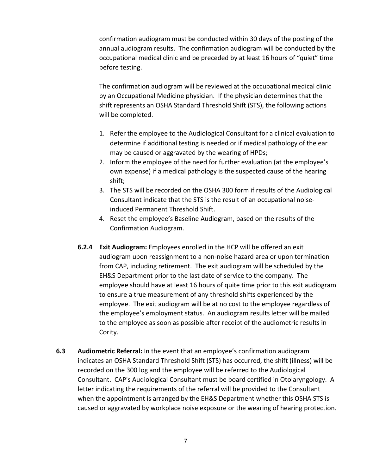confirmation audiogram must be conducted within 30 days of the posting of the annual audiogram results. The confirmation audiogram will be conducted by the occupational medical clinic and be preceded by at least 16 hours of "quiet" time before testing.

The confirmation audiogram will be reviewed at the occupational medical clinic by an Occupational Medicine physician. If the physician determines that the shift represents an OSHA Standard Threshold Shift (STS), the following actions will be completed.

- 1. Refer the employee to the Audiological Consultant for a clinical evaluation to determine if additional testing is needed or if medical pathology of the ear may be caused or aggravated by the wearing of HPDs;
- 2. Inform the employee of the need for further evaluation (at the employee's own expense) if a medical pathology is the suspected cause of the hearing shift;
- 3. The STS will be recorded on the OSHA 300 form if results of the Audiological Consultant indicate that the STS is the result of an occupational noiseinduced Permanent Threshold Shift.
- 4. Reset the employee's Baseline Audiogram, based on the results of the Confirmation Audiogram.
- **6.2.4 Exit Audiogram:** Employees enrolled in the HCP will be offered an exit audiogram upon reassignment to a non-noise hazard area or upon termination from CAP, including retirement. The exit audiogram will be scheduled by the EH&S Department prior to the last date of service to the company. The employee should have at least 16 hours of quite time prior to this exit audiogram to ensure a true measurement of any threshold shifts experienced by the employee. The exit audiogram will be at no cost to the employee regardless of the employee's employment status. An audiogram results letter will be mailed to the employee as soon as possible after receipt of the audiometric results in Cority.
- **6.3 Audiometric Referral:** In the event that an employee's confirmation audiogram indicates an OSHA Standard Threshold Shift (STS) has occurred, the shift (illness) will be recorded on the 300 log and the employee will be referred to the Audiological Consultant. CAP's Audiological Consultant must be board certified in Otolaryngology. A letter indicating the requirements of the referral will be provided to the Consultant when the appointment is arranged by the EH&S Department whether this OSHA STS is caused or aggravated by workplace noise exposure or the wearing of hearing protection.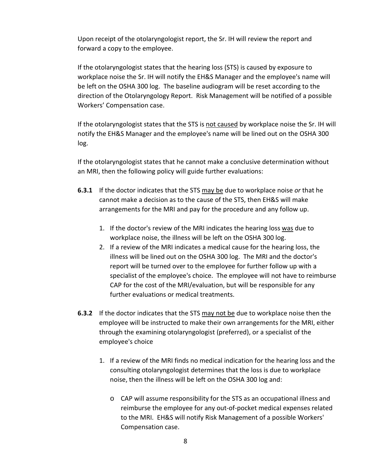Upon receipt of the otolaryngologist report, the Sr. IH will review the report and forward a copy to the employee.

If the otolaryngologist states that the hearing loss (STS) is caused by exposure to workplace noise the Sr. IH will notify the EH&S Manager and the employee's name will be left on the OSHA 300 log. The baseline audiogram will be reset according to the direction of the Otolaryngology Report. Risk Management will be notified of a possible Workers' Compensation case.

If the otolaryngologist states that the STS is not caused by workplace noise the Sr. IH will notify the EH&S Manager and the employee's name will be lined out on the OSHA 300 log.

If the otolaryngologist states that he cannot make a conclusive determination without an MRI, then the following policy will guide further evaluations:

- **6.3.1** If the doctor indicates that the STS may be due to workplace noise *or* that he cannot make a decision as to the cause of the STS, then EH&S will make arrangements for the MRI and pay for the procedure and any follow up.
	- 1. If the doctor's review of the MRI indicates the hearing loss was due to workplace noise, the illness will be left on the OSHA 300 log.
	- 2. If a review of the MRI indicates a medical cause for the hearing loss, the illness will be lined out on the OSHA 300 log. The MRI and the doctor's report will be turned over to the employee for further follow up with a specialist of the employee's choice. The employee will not have to reimburse CAP for the cost of the MRI/evaluation, but will be responsible for any further evaluations or medical treatments.
- **6.3.2** If the doctor indicates that the STS may not be due to workplace noise then the employee will be instructed to make their own arrangements for the MRI, either through the examining otolaryngologist (preferred), or a specialist of the employee's choice
	- 1. If a review of the MRI finds no medical indication for the hearing loss and the consulting otolaryngologist determines that the loss is due to workplace noise, then the illness will be left on the OSHA 300 log and:
		- o CAP will assume responsibility for the STS as an occupational illness and reimburse the employee for any out-of-pocket medical expenses related to the MRI. EH&S will notify Risk Management of a possible Workers' Compensation case.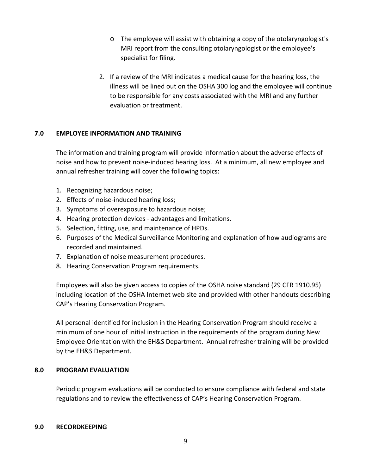- o The employee will assist with obtaining a copy of the otolaryngologist's MRI report from the consulting otolaryngologist or the employee's specialist for filing.
- 2. If a review of the MRI indicates a medical cause for the hearing loss, the illness will be lined out on the OSHA 300 log and the employee will continue to be responsible for any costs associated with the MRI and any further evaluation or treatment.

## **7.0 EMPLOYEE INFORMATION AND TRAINING**

The information and training program will provide information about the adverse effects of noise and how to prevent noise-induced hearing loss. At a minimum, all new employee and annual refresher training will cover the following topics:

- 1. Recognizing hazardous noise;
- 2. Effects of noise-induced hearing loss;
- 3. Symptoms of overexposure to hazardous noise;
- 4. Hearing protection devices advantages and limitations.
- 5. Selection, fitting, use, and maintenance of HPDs.
- 6. Purposes of the Medical Surveillance Monitoring and explanation of how audiograms are recorded and maintained.
- 7. Explanation of noise measurement procedures.
- 8. Hearing Conservation Program requirements.

Employees will also be given access to copies of the OSHA noise standard (29 CFR 1910.95) including location of the OSHA Internet web site and provided with other handouts describing CAP's Hearing Conservation Program.

All personal identified for inclusion in the Hearing Conservation Program should receive a minimum of one hour of initial instruction in the requirements of the program during New Employee Orientation with the EH&S Department. Annual refresher training will be provided by the EH&S Department.

### **8.0 PROGRAM EVALUATION**

Periodic program evaluations will be conducted to ensure compliance with federal and state regulations and to review the effectiveness of CAP's Hearing Conservation Program.

#### **9.0 RECORDKEEPING**